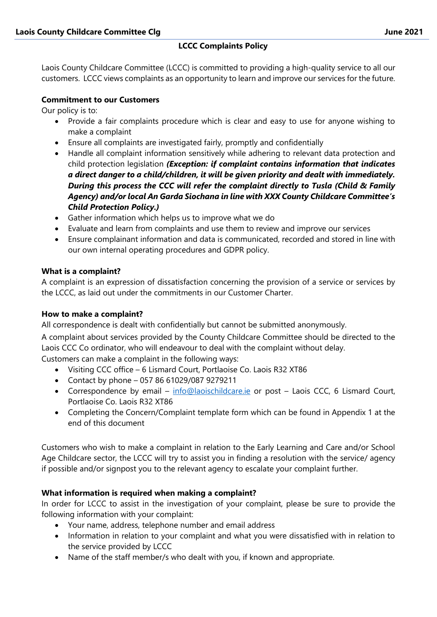Laois County Childcare Committee (LCCC) is committed to providing a high-quality service to all our customers. LCCC views complaints as an opportunity to learn and improve our services for the future.

## **Commitment to our Customers**

Our policy is to:

- Provide a fair complaints procedure which is clear and easy to use for anyone wishing to make a complaint
- Ensure all complaints are investigated fairly, promptly and confidentially
- Handle all complaint information sensitively while adhering to relevant data protection and child protection legislation *(Exception: if complaint contains information that indicates a direct danger to a child/children, it will be given priority and dealt with immediately. During this process the CCC will refer the complaint directly to Tusla (Child & Family Agency) and/or local An Garda Siochana in line with XXX County Childcare Committee's Child Protection Policy.)*
- Gather information which helps us to improve what we do
- Evaluate and learn from complaints and use them to review and improve our services
- Ensure complainant information and data is communicated, recorded and stored in line with our own internal operating procedures and GDPR policy.

### **What is a complaint?**

A complaint is an expression of dissatisfaction concerning the provision of a service or services by the LCCC, as laid out under the commitments in our Customer Charter.

### **How to make a complaint?**

All correspondence is dealt with confidentially but cannot be submitted anonymously.

A complaint about services provided by the County Childcare Committee should be directed to the Laois CCC Co ordinator, who will endeavour to deal with the complaint without delay.

Customers can make a complaint in the following ways:

- Visiting CCC office 6 Lismard Court, Portlaoise Co. Laois R32 XT86
- Contact by phone 057 86 61029/087 9279211
- Correspondence by email [info@laoischildcare.ie](mailto:info@laoischildcare.ie) or post Laois CCC, 6 Lismard Court, Portlaoise Co. Laois R32 XT86
- Completing the Concern/Complaint template form which can be found in Appendix 1 at the end of this document

Customers who wish to make a complaint in relation to the Early Learning and Care and/or School Age Childcare sector, the LCCC will try to assist you in finding a resolution with the service/ agency if possible and/or signpost you to the relevant agency to escalate your complaint further.

## **What information is required when making a complaint?**

In order for LCCC to assist in the investigation of your complaint, please be sure to provide the following information with your complaint:

- Your name, address, telephone number and email address
- Information in relation to your complaint and what you were dissatisfied with in relation to the service provided by LCCC
- Name of the staff member/s who dealt with you, if known and appropriate.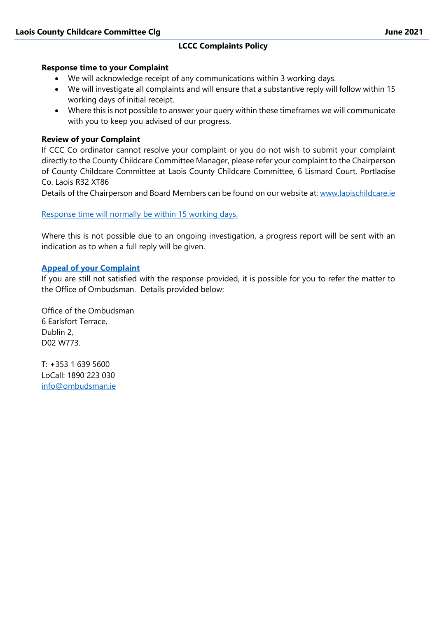#### **Response time to your Complaint**

- We will acknowledge receipt of any communications within 3 working days.
- We will investigate all complaints and will ensure that a substantive reply will follow within 15 working days of initial receipt.
- Where this is not possible to answer your query within these timeframes we will communicate with you to keep you advised of our progress.

### **Review of your Complaint**

If CCC Co ordinator cannot resolve your complaint or you do not wish to submit your complaint directly to the County Childcare Committee Manager, please refer your complaint to the Chairperson of County Childcare Committee at Laois County Childcare Committee, 6 Lismard Court, Portlaoise Co. Laois R32 XT86

Details of the Chairperson and Board Members can be found on our website at: [www.laoischildcare.ie](http://www.laoischildcare.ie/)

#### Response time will normally be within 15 working days.

Where this is not possible due to an ongoing investigation, a progress report will be sent with an indication as to when a full reply will be given.

#### **Appeal of your Complaint**

If you are still not satisfied with the response provided, it is possible for you to refer the matter to the Office of Ombudsman. Details provided below:

Office of the Ombudsman 6 Earlsfort Terrace, Dublin 2, D02 W773.

T: +353 1 639 5600 LoCall: 1890 223 030 [info@ombudsman.ie](mailto:info@ombudsman.ie)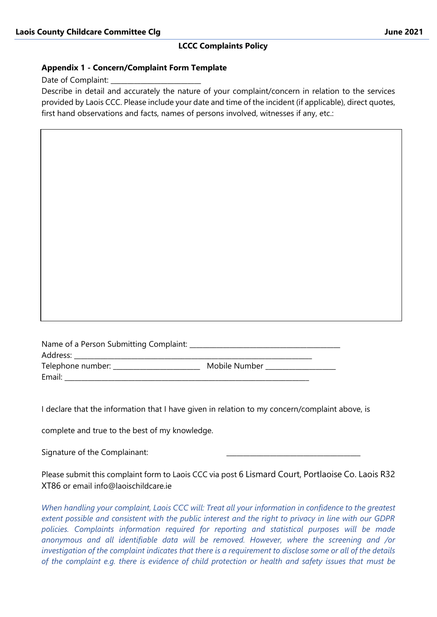#### **Appendix 1 - Concern/Complaint Form Template**

Date of Complaint:

Describe in detail and accurately the nature of your complaint/concern in relation to the services provided by Laois CCC. Please include your date and time of the incident (if applicable), direct quotes, first hand observations and facts, names of persons involved, witnesses if any, etc.:

| Name of a Person Submitting Complaint: |               |
|----------------------------------------|---------------|
| Address: <b>Address</b>                |               |
| Telephone number: ________             | Mobile Number |
| Email:                                 |               |

I declare that the information that I have given in relation to my concern/complaint above, is

complete and true to the best of my knowledge.

Signature of the Complainant:

Please submit this complaint form to Laois CCC via post 6 Lismard Court, Portlaoise Co. Laois R32 XT86 or email info@laoischildcare ie

*When handling your complaint, Laois CCC will: Treat all your information in confidence to the greatest extent possible and consistent with the public interest and the right to privacy in line with our GDPR policies. Complaints information required for reporting and statistical purposes will be made anonymous and all identifiable data will be removed. However, where the screening and /or investigation of the complaint indicates that there is a requirement to disclose some or all of the details of the complaint e.g. there is evidence of child protection or health and safety issues that must be*